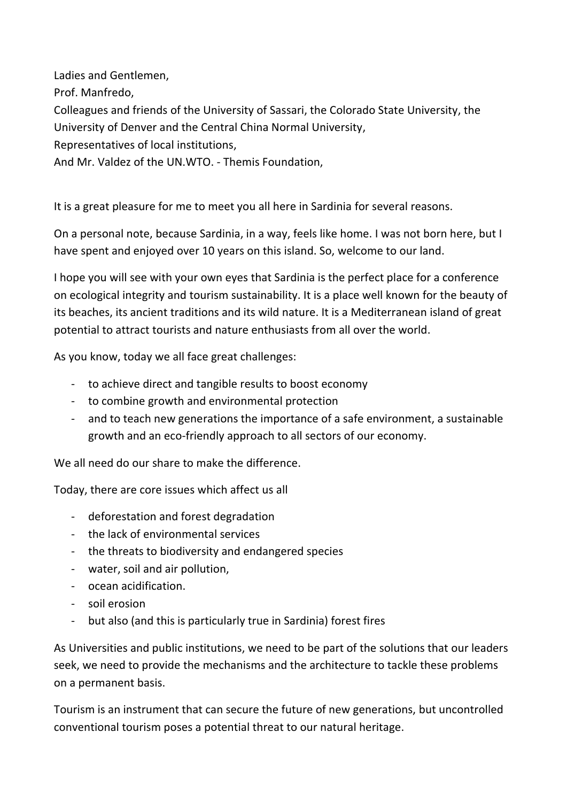Ladies and Gentlemen, Prof. Manfredo, Colleagues and friends of the University of Sassari, the Colorado State University, the University of Denver and the Central China Normal University, Representatives of local institutions, And Mr. Valdez of the UN.WTO. - Themis Foundation,

It is a great pleasure for me to meet you all here in Sardinia for several reasons.

On a personal note, because Sardinia, in a way, feels like home. I was not born here, but I have spent and enjoyed over 10 years on this island. So, welcome to our land.

I hope you will see with your own eyes that Sardinia is the perfect place for a conference on ecological integrity and tourism sustainability. It is a place well known for the beauty of its beaches, its ancient traditions and its wild nature. It is a Mediterranean island of great potential to attract tourists and nature enthusiasts from all over the world.

As you know, today we all face great challenges:

- to achieve direct and tangible results to boost economy
- to combine growth and environmental protection
- and to teach new generations the importance of a safe environment, a sustainable growth and an eco-friendly approach to all sectors of our economy.

We all need do our share to make the difference.

Today, there are core issues which affect us all

- deforestation and forest degradation
- the lack of environmental services
- the threats to biodiversity and endangered species
- water, soil and air pollution,
- ocean acidification.
- soil erosion
- but also (and this is particularly true in Sardinia) forest fires

As Universities and public institutions, we need to be part of the solutions that our leaders seek, we need to provide the mechanisms and the architecture to tackle these problems on a permanent basis.

Tourism is an instrument that can secure the future of new generations, but uncontrolled conventional tourism poses a potential threat to our natural heritage.